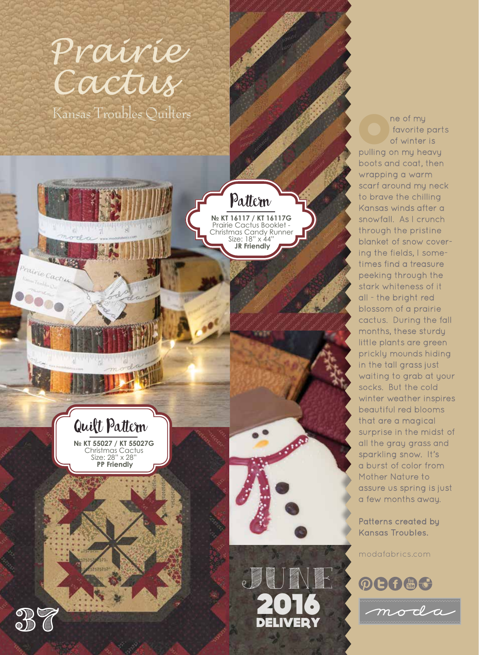## Prairie Cactus

Kansas Troubles Quilters



Christmas Cactus Size: 28" x 28"  **PP Friendly**



**№ KT 16117 / KT 16117G**  Prairie Cactus Booklet - Christmas Candy Runner Size: 18" x 44"  **JR Friendly**

Pattern

The of my<br>
tavorite<br>
of winter favorite parts of winter is pulling on my heavy boots and coat, then wrapping a warm scarf around my neck to brave the chilling Kansas winds after a snowfall. As I crunch through the pristine blanket of snow covering the fields, I sometimes find a treasure peeking through the stark whiteness of it all - the bright red blossom of a prairie cactus. During the fall months, these sturdy little plants are green prickly mounds hiding in the tall grass just waiting to grab at your socks. But the cold winter weather inspires beautiful red blooms that are a magical surprise in the midst of all the gray grass and sparkling snow. It's a burst of color from Mother Nature to assure us spring is just a few months away.

Patterns created by Kansas Troubles.

modafabrics.com





ratrie Cac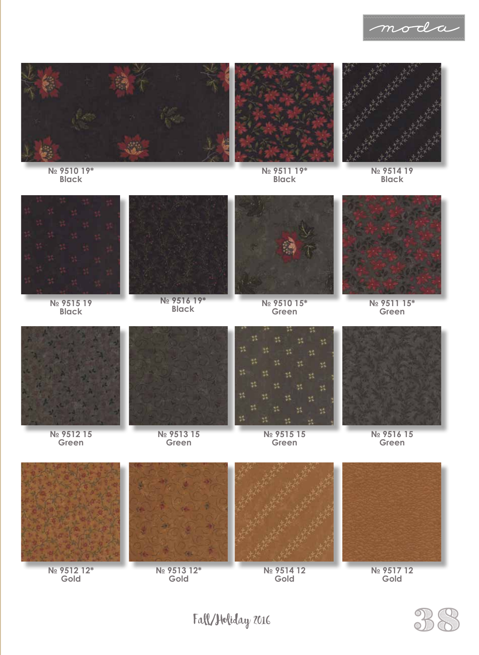





moda

**№ 9511 19\* Black**

**№ 9514 19 Black**



**№ 9510 19\* Black**

**№ 9515 19 Black**



**№ 9516 19\***



**Black № 9510 15\* Green**



**№ 9511 15\* Green**



**№ 9512 15 Green**

**Gold**



**№ 9513 15 Green**

**Gold**



**№ 9515 15 Green**

**Gold**



**№ 9516 15 Green**



**Gold**



 $Fall/J$ bliday 2016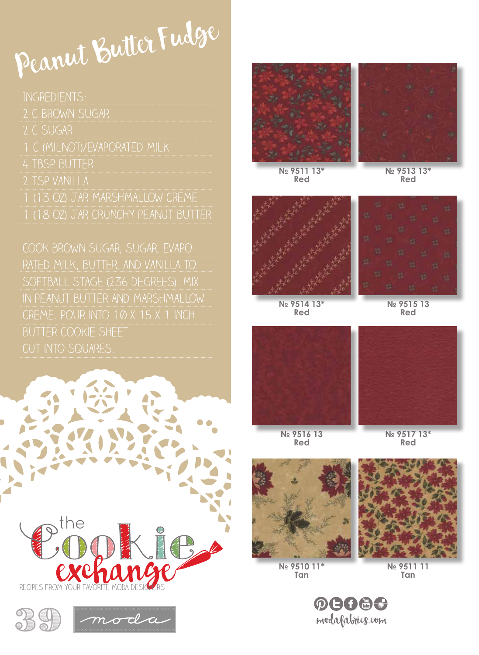## Peanut Butter Fudge

1 (13 oz) jar Marshmallow creme

rated milk, butter, and vanilla to in peanut butter and marshmallow cut into squares.











**№ 9511 13\* Red**

**№ 9513 13\* Red**



**№ 9514 13\* Red**

**№ 9515 13 Red**





**№ 9516 13 Red**

**№ 9517 13\* Red**



**№ 9510 11\* Tan**



**N**<sup>o</sup> 9511 **Tan**